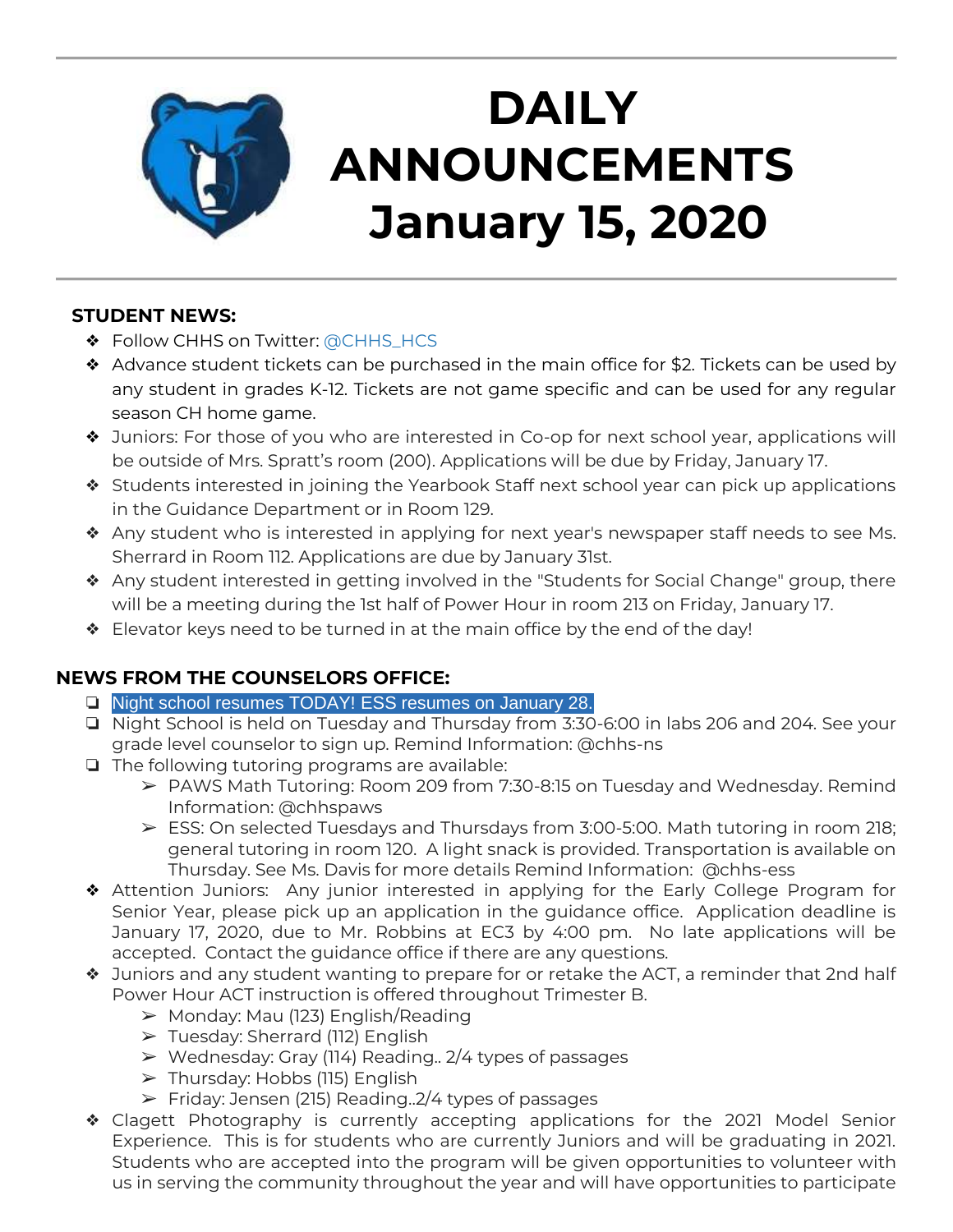

# **DAILY ANNOUNCEMENTS January 15, 2020**

### **STUDENT NEWS:**

- ❖ Follow CHHS on Twitter: [@CHHS\\_HCS](https://twitter.com/CHHS_HCS)
- ❖ Advance student tickets can be purchased in the main office for \$2. Tickets can be used by any student in grades K-12. Tickets are not game specific and can be used for any regular season CH home game.
- ❖ Juniors: For those of you who are interested in Co-op for next school year, applications will be outside of Mrs. Spratt's room (200). Applications will be due by Friday, January 17.
- ❖ Students interested in joining the Yearbook Staff next school year can pick up applications in the Guidance Department or in Room 129.
- ❖ Any student who is interested in applying for next year's newspaper staff needs to see Ms. Sherrard in Room 112. Applications are due by January 31st.
- ❖ Any student interested in getting involved in the "Students for Social Change" group, there will be a meeting during the 1st half of Power Hour in room 213 on Friday, January 17.
- ❖ Elevator keys need to be turned in at the main office by the end of the day!

## **NEWS FROM THE COUNSELORS OFFICE:**

- ❏ Night school resumes TODAY! ESS resumes on January 28.
- ❏ Night School is held on Tuesday and Thursday from 3:30-6:00 in labs 206 and 204. See your grade level counselor to sign up. Remind Information: @chhs-ns
- ❏ The following tutoring programs are available:
	- ➢ PAWS Math Tutoring: Room 209 from 7:30-8:15 on Tuesday and Wednesday. Remind Information: @chhspaws
	- $\triangleright$  ESS: On selected Tuesdays and Thursdays from 3:00-5:00. Math tutoring in room 218; general tutoring in room 120. A light snack is provided. Transportation is available on Thursday. See Ms. Davis for more details Remind Information: @chhs-ess
- ❖ Attention Juniors: Any junior interested in applying for the Early College Program for Senior Year, please pick up an application in the guidance office. Application deadline is January 17, 2020, due to Mr. Robbins at EC3 by 4:00 pm. No late applications will be accepted. Contact the guidance office if there are any questions.
- ❖ Juniors and any student wanting to prepare for or retake the ACT, a reminder that 2nd half Power Hour ACT instruction is offered throughout Trimester B.
	- ➢ Monday: Mau (123) English/Reading
	- ➢ Tuesday: Sherrard (112) English
	- $\triangleright$  Wednesday: Gray (114) Reading.. 2/4 types of passages
	- ➢ Thursday: Hobbs (115) English
	- $\triangleright$  Friday: Jensen (215) Reading. 2/4 types of passages
- ❖ Clagett Photography is currently accepting applications for the 2021 Model Senior Experience. This is for students who are currently Juniors and will be graduating in 2021. Students who are accepted into the program will be given opportunities to volunteer with us in serving the community throughout the year and will have opportunities to participate